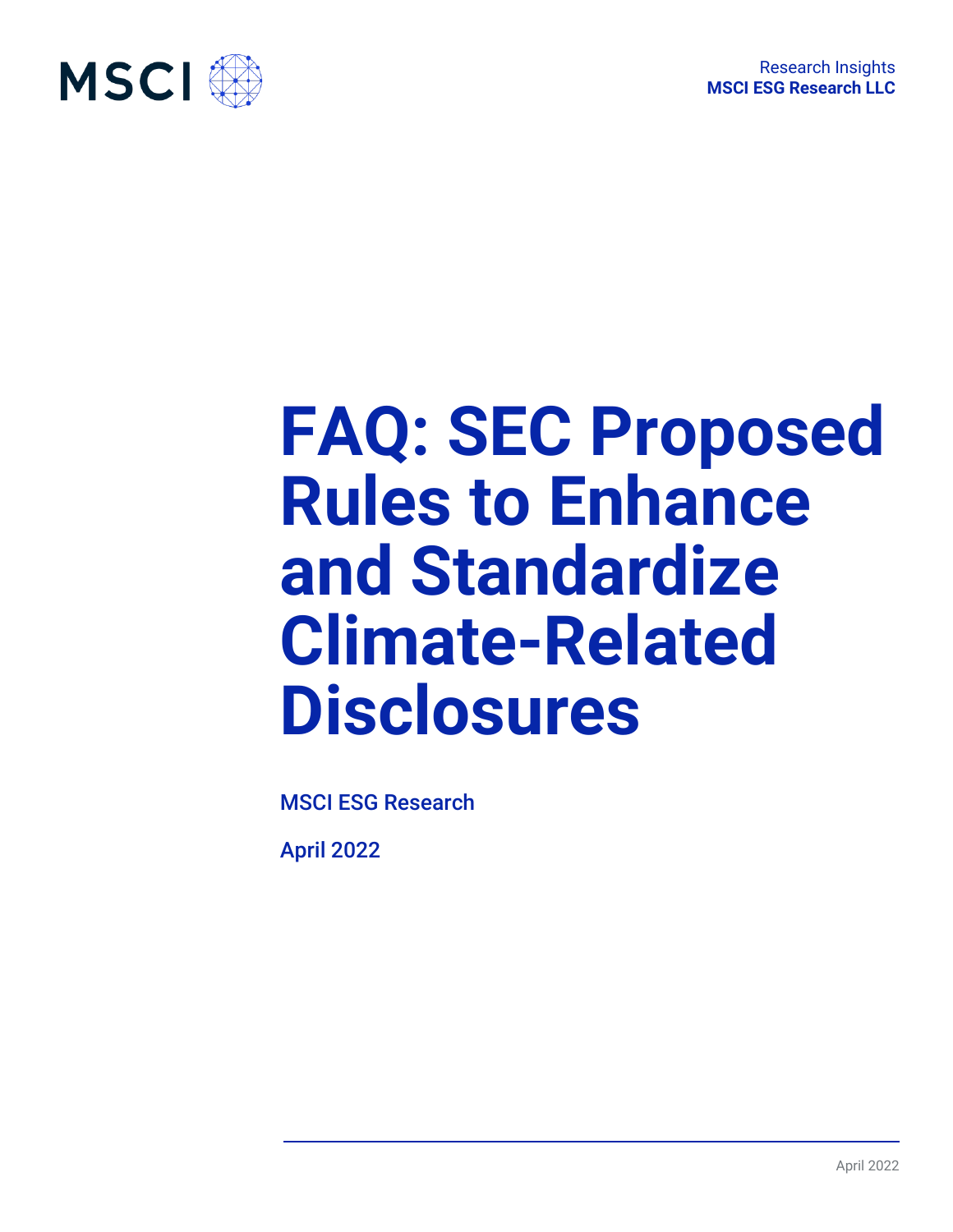

# **FAQ: SEC Proposed Rules to Enhance and Standardize Climate-Related Disclosures**

MSCI ESG Research

April 2022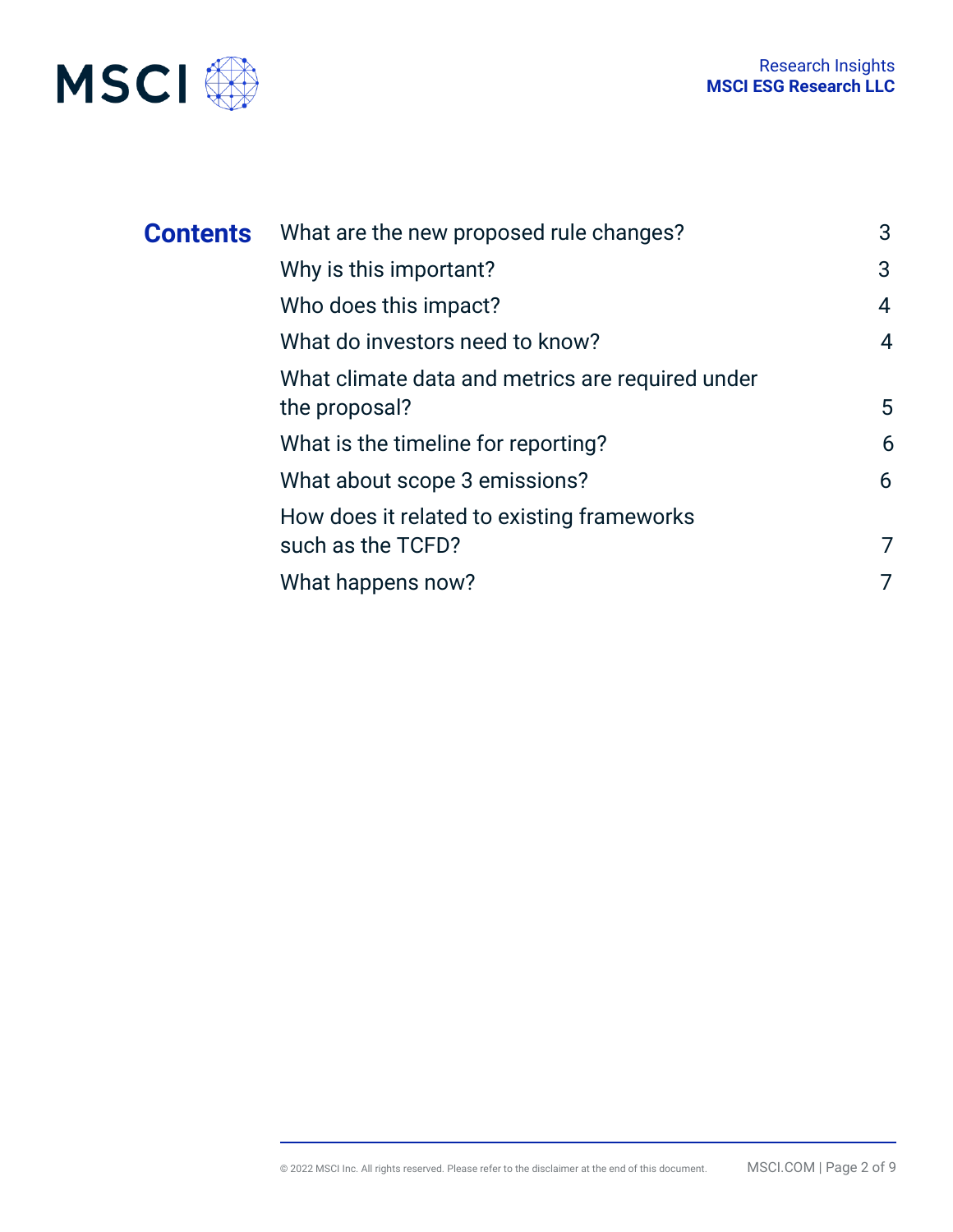

| <b>Contents</b> | What are the new proposed rule changes?                           | 3              |
|-----------------|-------------------------------------------------------------------|----------------|
|                 | Why is this important?                                            | 3              |
|                 | Who does this impact?                                             | 4              |
|                 | What do investors need to know?                                   | $\overline{4}$ |
|                 | What climate data and metrics are required under<br>the proposal? | 5              |
|                 | What is the timeline for reporting?                               | 6              |
|                 | What about scope 3 emissions?                                     | 6              |
|                 | How does it related to existing frameworks                        |                |
|                 | such as the TCFD?                                                 | 7              |
|                 | What happens now?                                                 | 7              |
|                 |                                                                   |                |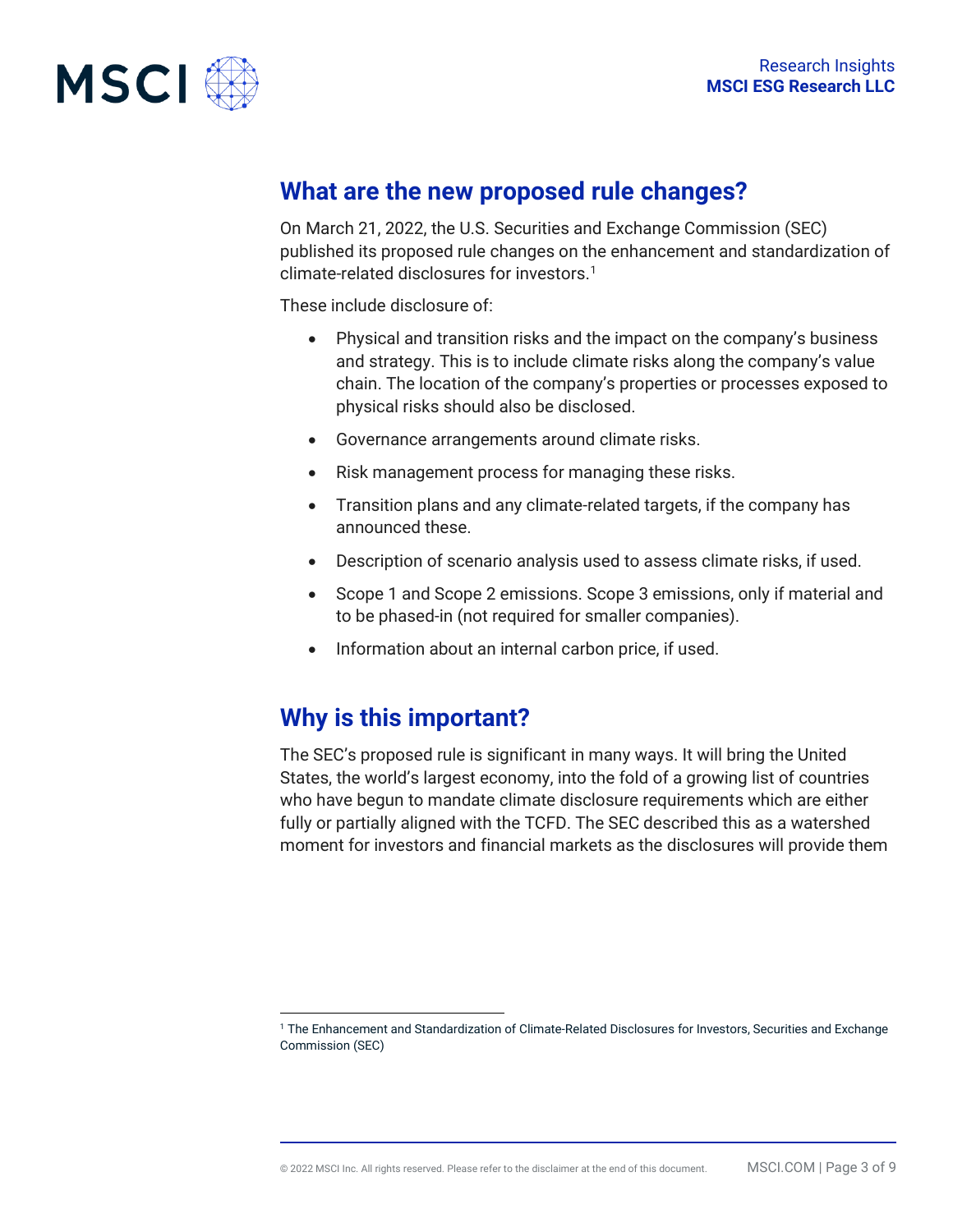

## **What are the new proposed rule changes?**

On March 21, 2022, the U.S. Securities and Exchange Commission (SEC) published its proposed rule changes on the enhancement and standardization of climate-related disclosures for investors.<sup>1</sup>

These include disclosure of:

- Physical and transition risks and the impact on the company's business and strategy. This is to include climate risks along the company's value chain. The location of the company's properties or processes exposed to physical risks should also be disclosed.
- Governance arrangements around climate risks.
- Risk management process for managing these risks.
- Transition plans and any climate-related targets, if the company has announced these.
- Description of scenario analysis used to assess climate risks, if used.
- Scope 1 and Scope 2 emissions. Scope 3 emissions, only if material and to be phased-in (not required for smaller companies).
- Information about an internal carbon price, if used.

## **Why is this important?**

The SEC's proposed rule is significant in many ways. It will bring the United States, the world's largest economy, into the fold of a growing list of countries who have begun to mandate climate disclosure requirements which are either fully or partially aligned with the TCFD. The SEC described this as a watershed moment for investors and financial markets as the disclosures will provide them

<span id="page-2-0"></span><sup>1</sup> The Enhancement and Standardization of Climate-Related Disclosures for Investors, Securities and Exchange Commission (SEC)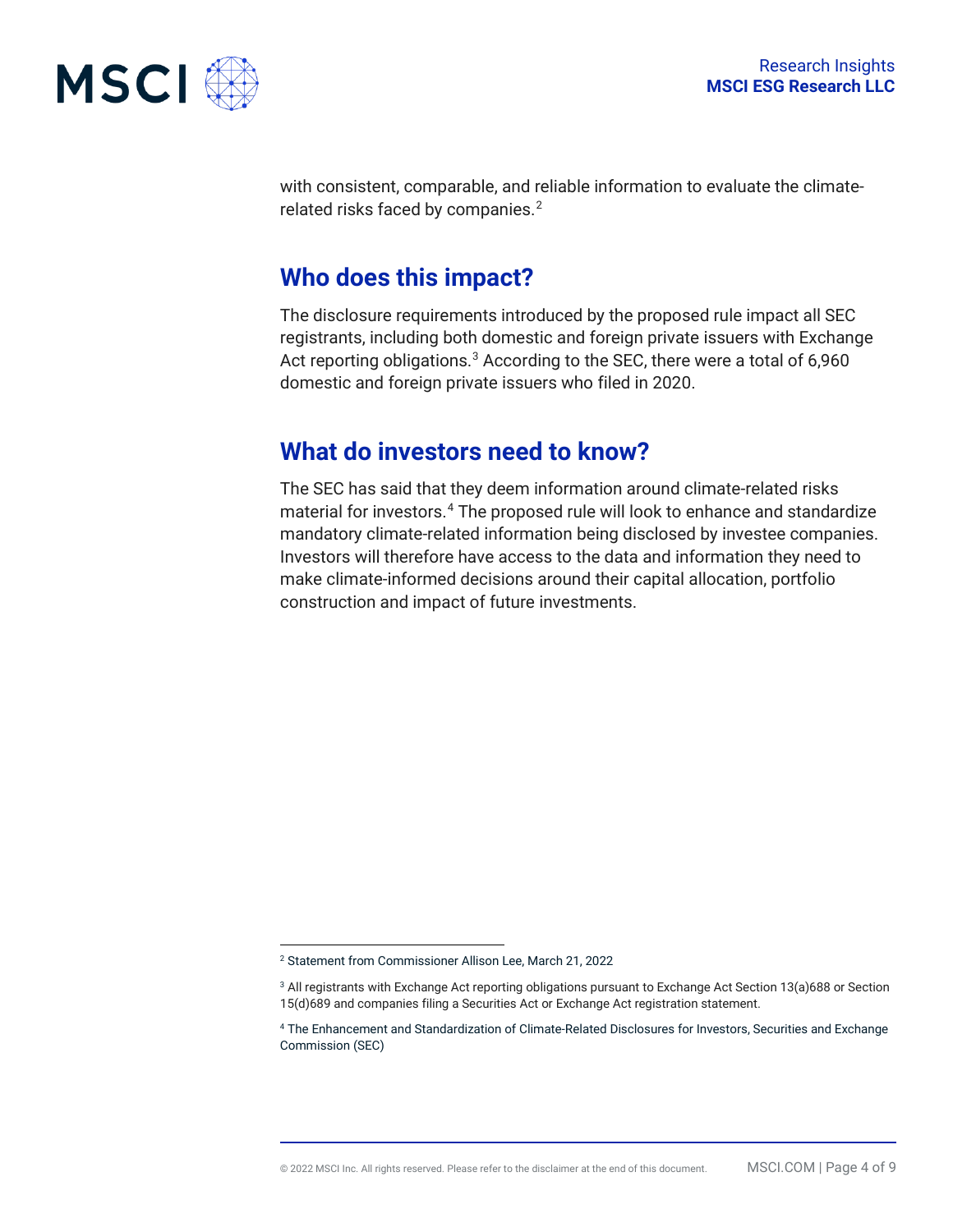

with consistent, comparable, and reliable information to evaluate the climaterelated risks faced by companies. $2$ 

## **Who does this impact?**

The disclosure requirements introduced by the proposed rule impact all SEC registrants, including both domestic and foreign private issuers with Exchange Act reporting obligations.<sup>[3](#page-3-1)</sup> According to the SEC, there were a total of 6,960 domestic and foreign private issuers who filed in 2020.

## **What do investors need to know?**

The SEC has said that they deem information around climate-related risks material for investors.[4](#page-3-2) The proposed rule will look to enhance and standardize mandatory climate-related information being disclosed by investee companies. Investors will therefore have access to the data and information they need to make climate-informed decisions around their capital allocation, portfolio construction and impact of future investments.

<span id="page-3-0"></span><sup>2</sup> Statement from Commissioner Allison Lee, March 21, 2022

<span id="page-3-1"></span><sup>3</sup> All registrants with Exchange Act reporting obligations pursuant to Exchange Act Section 13(a)688 or Section 15(d)689 and companies filing a Securities Act or Exchange Act registration statement.

<span id="page-3-2"></span><sup>4</sup> The Enhancement and Standardization of Climate-Related Disclosures for Investors, Securities and Exchange Commission (SEC)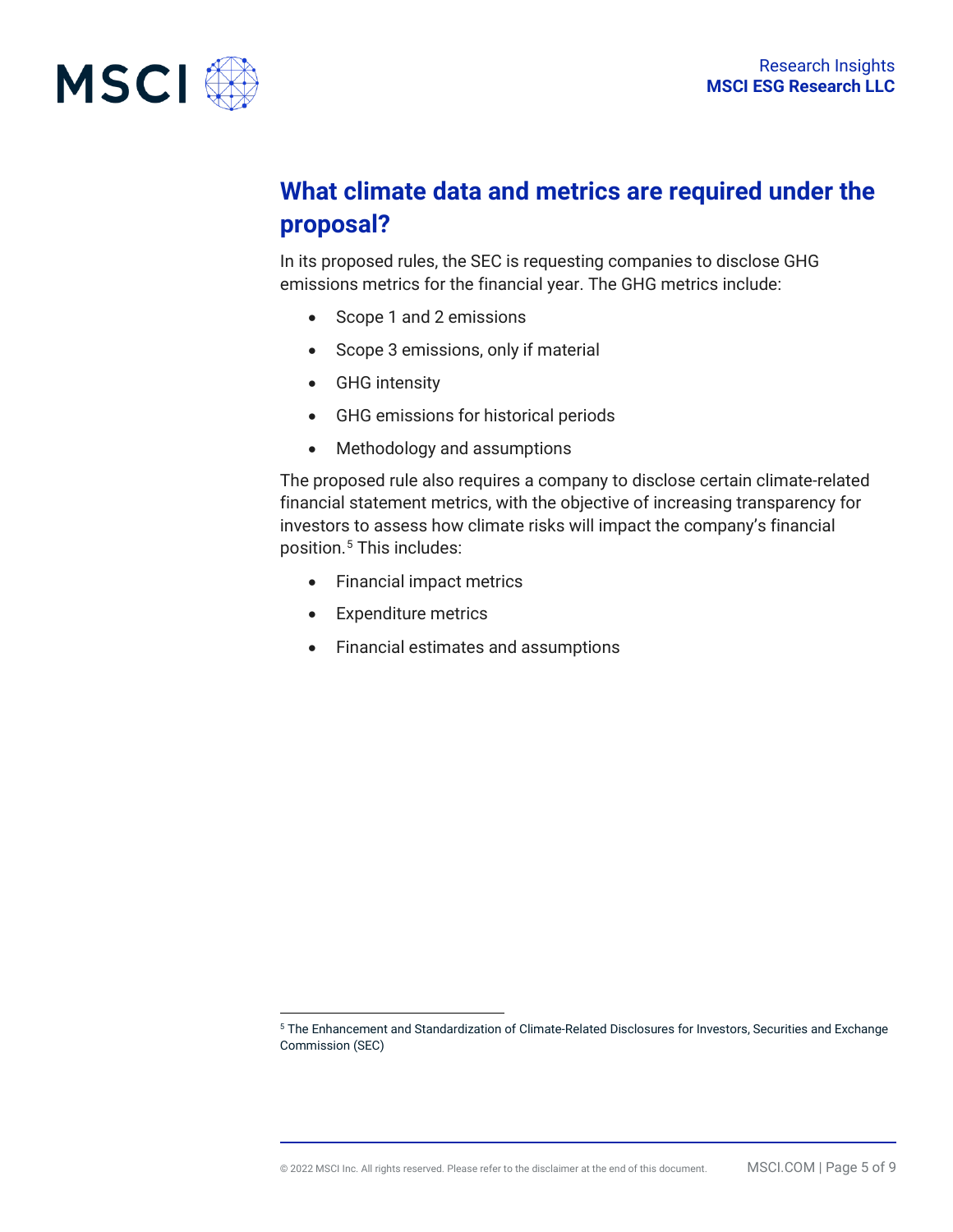

# **What climate data and metrics are required under the proposal?**

In its proposed rules, the SEC is requesting companies to disclose GHG emissions metrics for the financial year. The GHG metrics include:

- Scope 1 and 2 emissions
- Scope 3 emissions, only if material
- GHG intensity
- GHG emissions for historical periods
- Methodology and assumptions

The proposed rule also requires a company to disclose certain climate-related financial statement metrics, with the objective of increasing transparency for investors to assess how climate risks will impact the company's financial position.<sup>[5](#page-4-0)</sup> This includes:

- Financial impact metrics
- Expenditure metrics
- Financial estimates and assumptions

<span id="page-4-0"></span><sup>5</sup> The Enhancement and Standardization of Climate-Related Disclosures for Investors, Securities and Exchange Commission (SEC)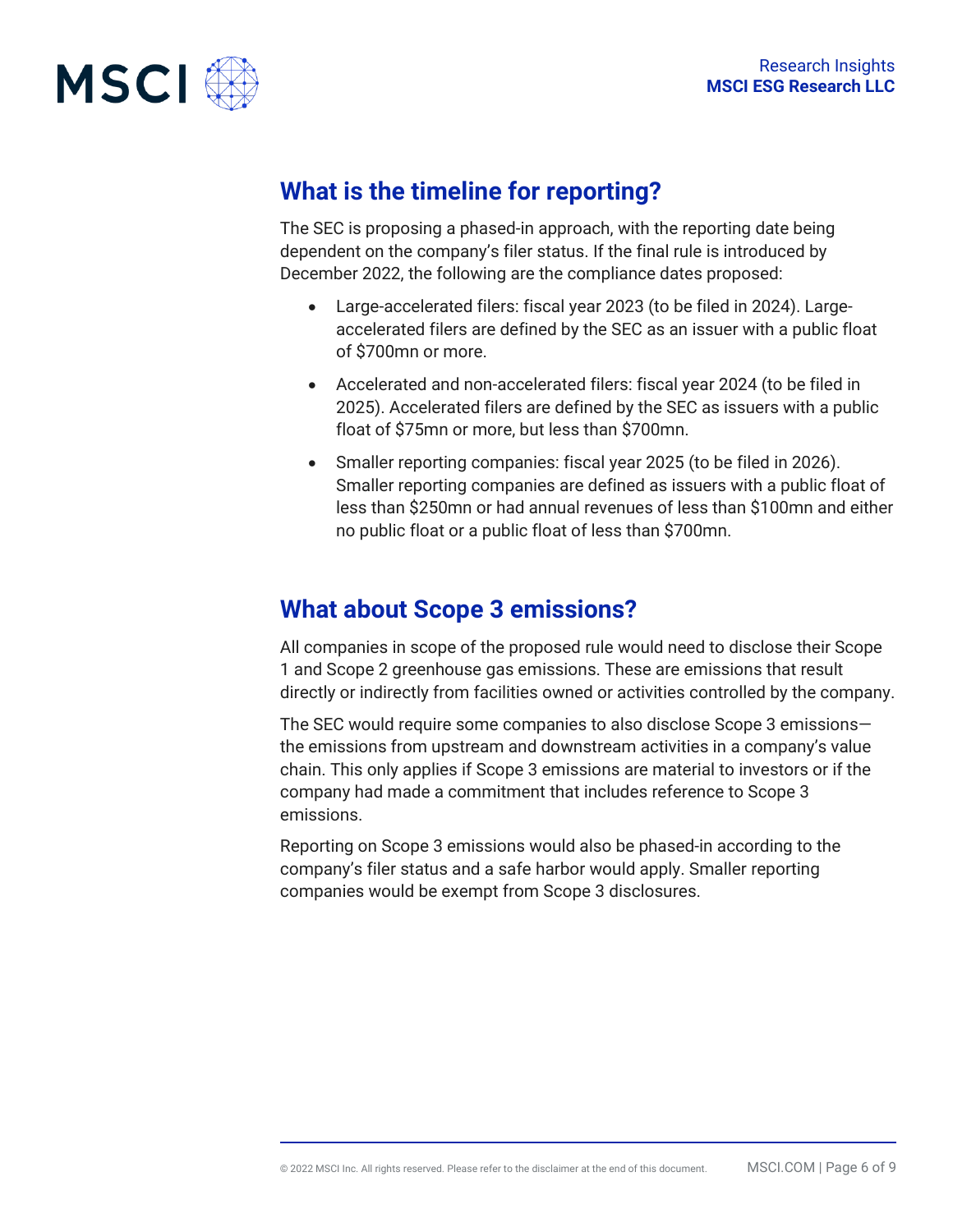

## **What is the timeline for reporting?**

The SEC is proposing a phased-in approach, with the reporting date being dependent on the company's filer status. If the final rule is introduced by December 2022, the following are the compliance dates proposed:

- Large-accelerated filers: fiscal year 2023 (to be filed in 2024). Largeaccelerated filers are defined by the SEC as an issuer with a public float of \$700mn or more.
- Accelerated and non-accelerated filers: fiscal year 2024 (to be filed in 2025). Accelerated filers are defined by the SEC as issuers with a public float of \$75mn or more, but less than \$700mn.
- Smaller reporting companies: fiscal year 2025 (to be filed in 2026). Smaller reporting companies are defined as issuers with a public float of less than \$250mn or had annual revenues of less than \$100mn and either no public float or a public float of less than \$700mn.

## **What about Scope 3 emissions?**

All companies in scope of the proposed rule would need to disclose their Scope 1 and Scope 2 greenhouse gas emissions. These are emissions that result directly or indirectly from facilities owned or activities controlled by the company.

The SEC would require some companies to also disclose Scope 3 emissions the emissions from upstream and downstream activities in a company's value chain. This only applies if Scope 3 emissions are material to investors or if the company had made a commitment that includes reference to Scope 3 emissions.

Reporting on Scope 3 emissions would also be phased-in according to the company's filer status and a safe harbor would apply. Smaller reporting companies would be exempt from Scope 3 disclosures.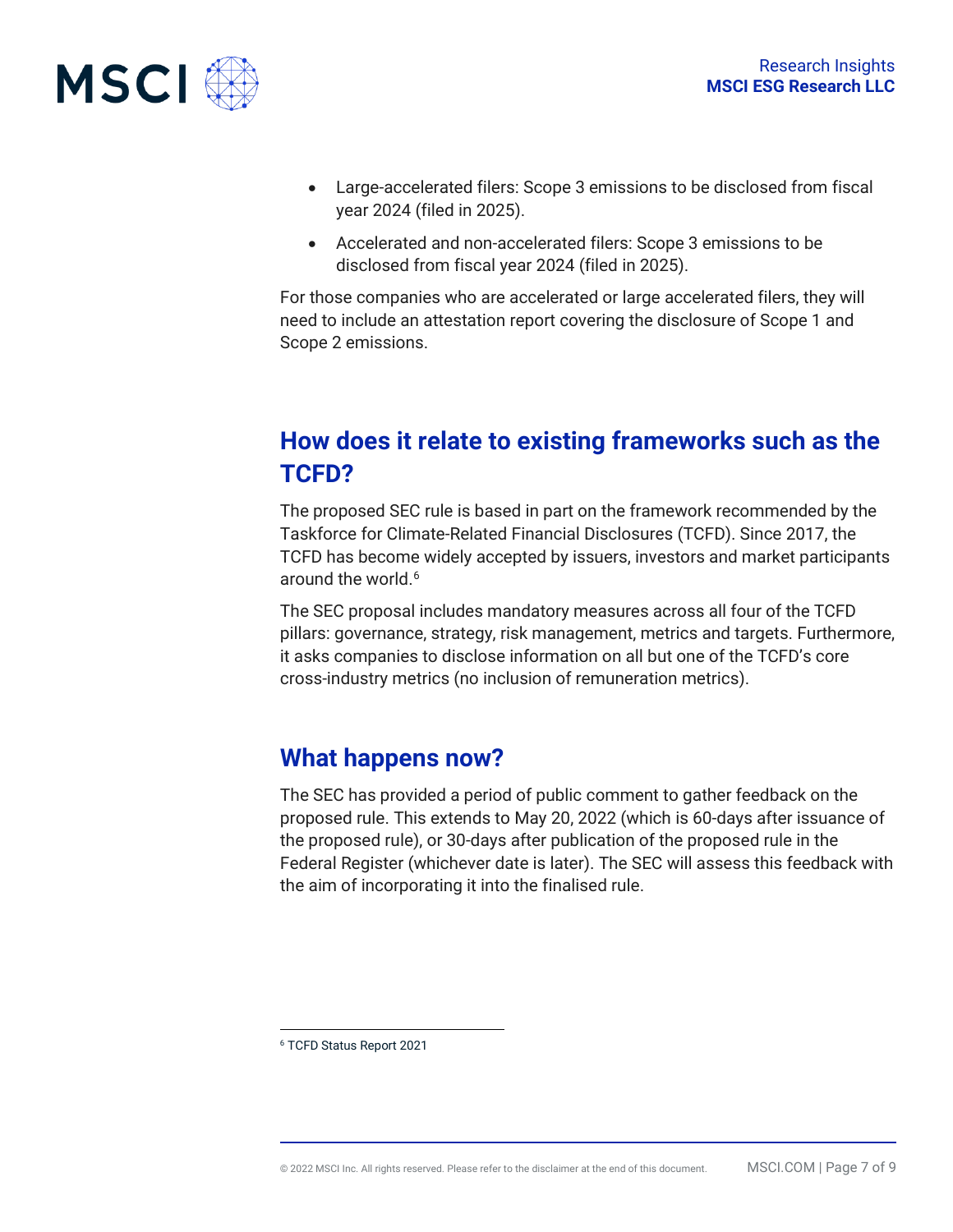

- Large-accelerated filers: Scope 3 emissions to be disclosed from fiscal year 2024 (filed in 2025).
- Accelerated and non-accelerated filers: Scope 3 emissions to be disclosed from fiscal year 2024 (filed in 2025).

For those companies who are accelerated or large accelerated filers, they will need to include an attestation report covering the disclosure of Scope 1 and Scope 2 emissions.

# **How does it relate to existing frameworks such as the TCFD?**

The proposed SEC rule is based in part on the framework recommended by the Taskforce for Climate-Related Financial Disclosures (TCFD). Since 2017, the TCFD has become widely accepted by issuers, investors and market participants around the world.<sup>[6](#page-6-0)</sup>

The SEC proposal includes mandatory measures across all four of the TCFD pillars: governance, strategy, risk management, metrics and targets. Furthermore, it asks companies to disclose information on all but one of the TCFD's core cross-industry metrics (no inclusion of remuneration metrics).

## **What happens now?**

The SEC has provided a period of public comment to gather feedback on the proposed rule. This extends to May 20, 2022 (which is 60-days after issuance of the proposed rule), or 30-days after publication of the proposed rule in the Federal Register (whichever date is later). The SEC will assess this feedback with the aim of incorporating it into the finalised rule.

<span id="page-6-0"></span><sup>6</sup> TCFD Status Report 2021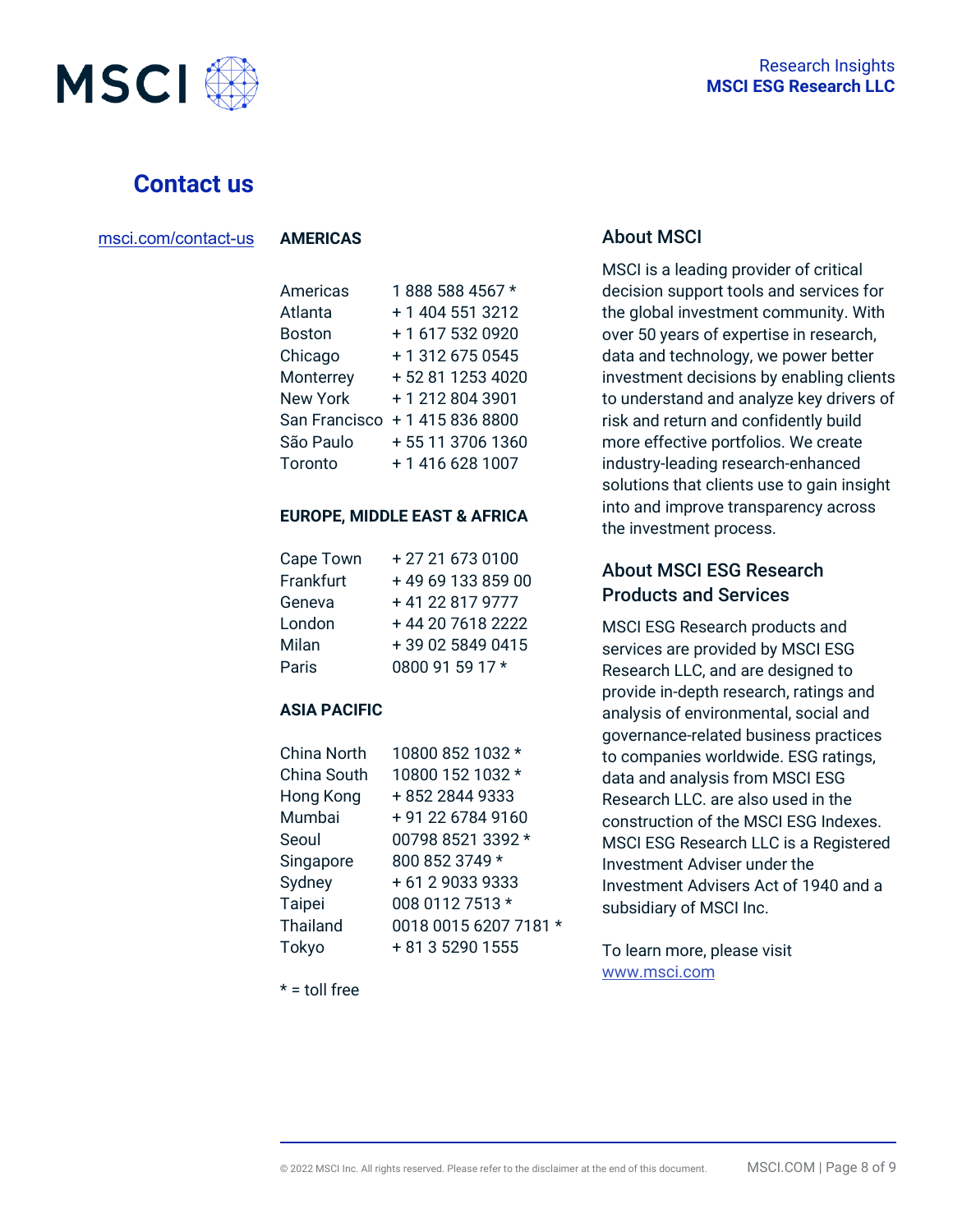



#### **Contact us**

| msci.com/contact-us |
|---------------------|
|                     |

**AMERICAS**

| Americas        | 1888 588 4567 *   |
|-----------------|-------------------|
| Atlanta         | + 1 404 551 3212  |
| <b>Boston</b>   | +1 617 532 0920   |
| Chicago         | + 1 312 675 0545  |
| Monterrey       | +52 81 1253 4020  |
| <b>New York</b> | +12128043901      |
| San Francisco   | +14158368800      |
| São Paulo       | + 55 11 3706 1360 |
| Toronto         | +1 416 628 1007   |

#### **EUROPE, MIDDLE EAST & AFRICA**

| Cape Town | +27 21 673 0100   |
|-----------|-------------------|
| Frankfurt | +49 69 133 859 00 |
| Geneva    | +41 22 817 9777   |
| London    | +44 20 7618 2222  |
| Milan     | +39 02 5849 0415  |
| Paris     | 0800 91 59 17 *   |

#### **ASIA PACIFIC**

| China North     | 10800 852 1032 *      |
|-----------------|-----------------------|
| China South     | 10800 152 1032 *      |
| Hong Kong       | +852 2844 9333        |
| Mumbai          | +91 22 6784 9160      |
| Seoul           | 00798 8521 3392 *     |
| Singapore       | 800 852 3749 *        |
| Sydney          | + 61 2 9033 9333      |
| Taipei          | 008 0112 7513 *       |
| <b>Thailand</b> | 0018 0015 6207 7181 * |
| Tokyo           | + 81 3 5290 1555      |

#### $* =$  toll free

#### About MSCI

MSCI is a leading provider of critical decision support tools and services for the global investment community. With over 50 years of expertise in research, data and technology, we power better investment decisions by enabling clients to understand and analyze key drivers of risk and return and confidently build more effective portfolios. We create industry-leading research-enhanced solutions that clients use to gain insight into and improve transparency across the investment process.

#### About MSCI ESG Research Products and Services

MSCI ESG Research products and services are provided by MSCI ESG Research LLC, and are designed to provide in-depth research, ratings and analysis of environmental, social and governance-related business practices to companies worldwide. ESG ratings, data and analysis from MSCI ESG Research LLC. are also used in the construction of the MSCI ESG Indexes. MSCI ESG Research LLC is a Registered Investment Adviser under the Investment Advisers Act of 1940 and a subsidiary of MSCI Inc.

To learn more, please visit [www.msci.com](http://www.msci.com/)